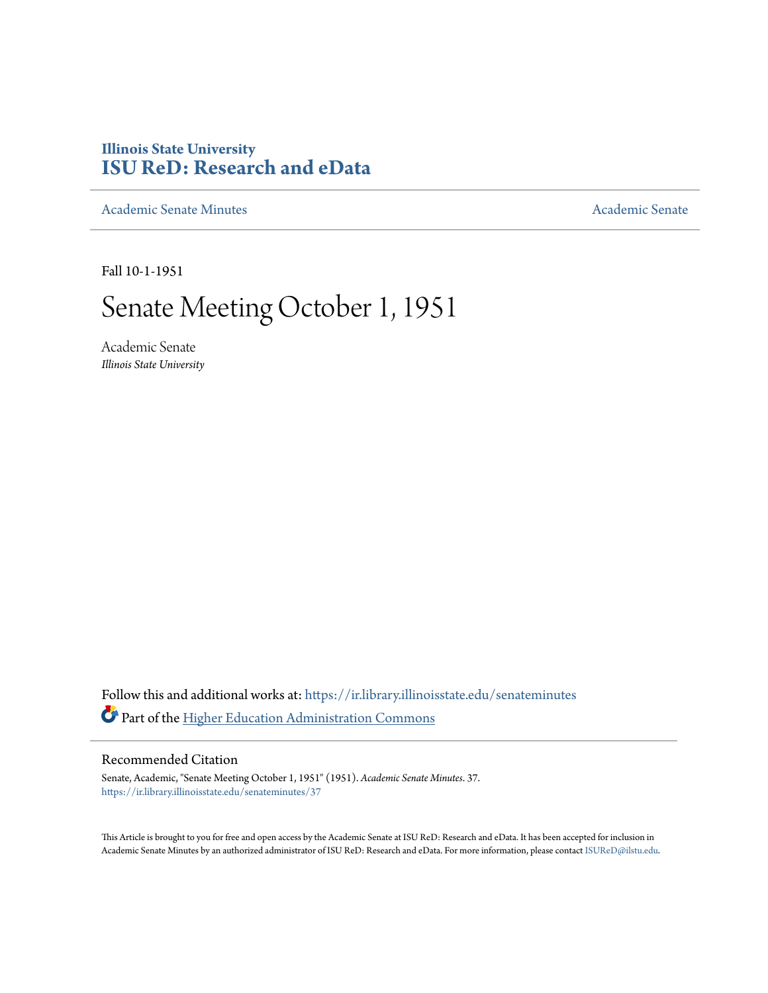## **Illinois State University [ISU ReD: Research and eData](https://ir.library.illinoisstate.edu?utm_source=ir.library.illinoisstate.edu%2Fsenateminutes%2F37&utm_medium=PDF&utm_campaign=PDFCoverPages)**

[Academic Senate Minutes](https://ir.library.illinoisstate.edu/senateminutes?utm_source=ir.library.illinoisstate.edu%2Fsenateminutes%2F37&utm_medium=PDF&utm_campaign=PDFCoverPages) [Academic Senate](https://ir.library.illinoisstate.edu/senate?utm_source=ir.library.illinoisstate.edu%2Fsenateminutes%2F37&utm_medium=PDF&utm_campaign=PDFCoverPages) Academic Senate

Fall 10-1-1951

## Senate Meeting October 1, 1951

Academic Senate *Illinois State University*

Follow this and additional works at: [https://ir.library.illinoisstate.edu/senateminutes](https://ir.library.illinoisstate.edu/senateminutes?utm_source=ir.library.illinoisstate.edu%2Fsenateminutes%2F37&utm_medium=PDF&utm_campaign=PDFCoverPages) Part of the [Higher Education Administration Commons](http://network.bepress.com/hgg/discipline/791?utm_source=ir.library.illinoisstate.edu%2Fsenateminutes%2F37&utm_medium=PDF&utm_campaign=PDFCoverPages)

## Recommended Citation

Senate, Academic, "Senate Meeting October 1, 1951" (1951). *Academic Senate Minutes*. 37. [https://ir.library.illinoisstate.edu/senateminutes/37](https://ir.library.illinoisstate.edu/senateminutes/37?utm_source=ir.library.illinoisstate.edu%2Fsenateminutes%2F37&utm_medium=PDF&utm_campaign=PDFCoverPages)

This Article is brought to you for free and open access by the Academic Senate at ISU ReD: Research and eData. It has been accepted for inclusion in Academic Senate Minutes by an authorized administrator of ISU ReD: Research and eData. For more information, please contact [ISUReD@ilstu.edu.](mailto:ISUReD@ilstu.edu)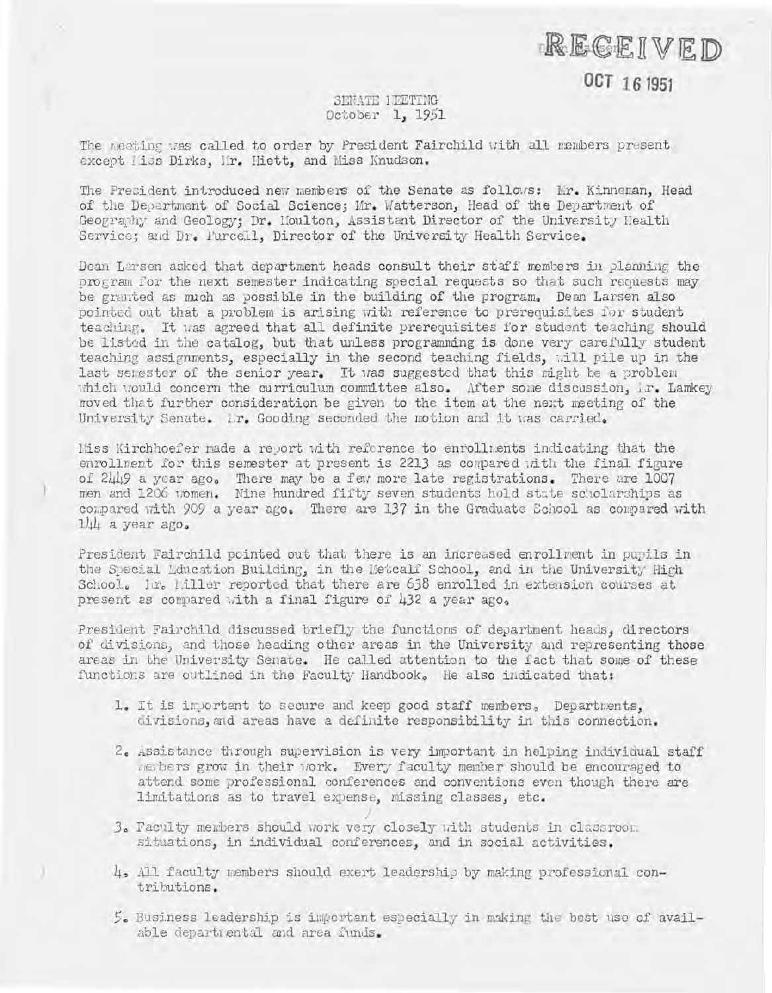RECEIVED

**OCT 161951** 

## SENATE 1 RETING October 1, 1951

The meeting was called to order by President Fairchild with all members present except liss Dirks, Mr. Hiett, and Miss Knudson.

The President introduced new members of the Senate as follows: Mr. Kinneman, Head of the Department of Social Science; Mr. Watterson, Head of the Department of Geography and Geology: Dr. Moulton, Assistant Director of the University Health Service; and Dr. Furcell, Director of the University Health Service.

Dean Larsen asked that department heads consult their staff members in planning the program for the next semester indicating special requests so that such requests may be granted as much as possible in the building of the program. Dean Larsen also pointed out that a problem is arising with reference to prerequisites for student teaching. It was agreed that all definite prerequisites for student teaching should be listed in the catalog, but that unless programming is done very carefully student teaching assignments, especially in the second teaching fields, will pile up in the last senester of the senior year. It was suggested that this might be a problem which would concern the curriculum committee also. After some discussion, ir. Lamkey moved that further consideration be given to the item at the next meeting of the University Senate. Lr. Gooding seconded the motion and it was carried.

liss Kirchhoefer made a report with reference to enrollments indicating that the enrollment for this semester at present is 2213 as compared with the final figure of 2449 a year ago. There may be a few more late registrations. There are 1007 men and 1206 women. Nine hundred fifty seven students hold state scholarships as compared with 909 a year ago. There are 137 in the Graduate School as compared with  $1/4$  a year ago.

President Fairchild pointed out that there is an increased enrollment in pupils in the Special Monocation Building, in the Metcalf School, and in the University High School. In. liller reported that there are 638 enrolled in extension courses at present as compared with a final figure of 432 a year ago.

President Fairchild discussed briefly the functions of department heads, directors of divisions, and those heading other areas in the University and representing those areas in the University Senate. He called attention to the fact that some of these functions are outlined in the Faculty Handbook. He also indicated that:

- 1. It is inportant to secure and keep good staff members, Departments, divisions, and areas have a definite responsibility in this connection.
- 2. Assistance through supervision is very important in helping individual staff members grow in their work. Every faculty member should be encouraged to attend some professional conferences and conventions even though there are limitations as to travel expense, missing classes, etc.
- 3. Faculty members should work very closely with students in classroom. situations, in individual conferences, and in social activities.
- 4. All faculty members should exert leadership by making professional contributions.
- 5. Business leadership is important especially in making the best use of available departmental and area funds.